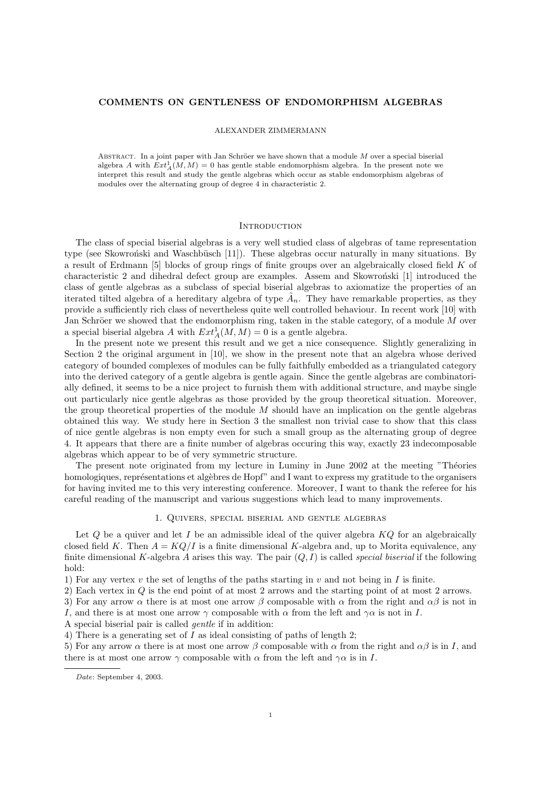### COMMENTS ON GENTLENESS OF ENDOMORPHISM ALGEBRAS

### ALEXANDER ZIMMERMANN

ABSTRACT. In a joint paper with Jan Schröer we have shown that a module  $M$  over a special biserial algebra A with  $Ext_A^1(M, M) = 0$  has gentle stable endomorphism algebra. In the present note we interpret this result and study the gentle algebras which occur as stable endomorphism algebras of modules over the alternating group of degree 4 in characteristic 2.

#### **INTRODUCTION**

The class of special biserial algebras is a very well studied class of algebras of tame representation type (see Skowron'ski and Waschbüsch [11]). These algebras occur naturally in many situations. By a result of Erdmann [5] blocks of group rings of finite groups over an algebraically closed field K of characteristic 2 and dihedral defect group are examples. Assem and Skowronski [1] introduced the class of gentle algebras as a subclass of special biserial algebras to axiomatize the properties of an iterated tilted algebra of a hereditary algebra of type  $\tilde{A}_n$ . They have remarkable properties, as they provide a sufficiently rich class of nevertheless quite well controlled behaviour. In recent work [10] with Jan Schröer we showed that the endomorphism ring, taken in the stable category, of a module  $M$  over a special biserial algebra A with  $Ext_A^1(M, M) = 0$  is a gentle algebra.

In the present note we present this result and we get a nice consequence. Slightly generalizing in Section 2 the original argument in [10], we show in the present note that an algebra whose derived category of bounded complexes of modules can be fully faithfully embedded as a triangulated category into the derived category of a gentle algebra is gentle again. Since the gentle algebras are combinatorially defined, it seems to be a nice project to furnish them with additional structure, and maybe single out particularly nice gentle algebras as those provided by the group theoretical situation. Moreover, the group theoretical properties of the module  $M$  should have an implication on the gentle algebras obtained this way. We study here in Section 3 the smallest non trivial case to show that this class of nice gentle algebras is non empty even for such a small group as the alternating group of degree 4. It appears that there are a finite number of algebras occuring this way, exactly 23 indecomposable algebras which appear to be of very symmetric structure.

The present note originated from my lecture in Luminy in June 2002 at the meeting "Théories" homologiques, représentations et algèbres de Hopf" and I want to express my gratitude to the organisers for having invited me to this very interesting conference. Moreover, I want to thank the referee for his careful reading of the manuscript and various suggestions which lead to many improvements.

### 1. Quivers, special biserial and gentle algebras

Let  $Q$  be a quiver and let  $I$  be an admissible ideal of the quiver algebra  $KQ$  for an algebraically closed field K. Then  $A = KQ/I$  is a finite dimensional K-algebra and, up to Morita equivalence, any finite dimensional K-algebra A arises this way. The pair  $(O, I)$  is called *special biserial* if the following hold:

1) For any vertex v the set of lengths of the paths starting in v and not being in I is finite.

2) Each vertex in Q is the end point of at most 2 arrows and the starting point of at most 2 arrows.

3) For any arrow  $\alpha$  there is at most one arrow  $\beta$  composable with  $\alpha$  from the right and  $\alpha\beta$  is not in

I, and there is at most one arrow  $\gamma$  composable with  $\alpha$  from the left and  $\gamma \alpha$  is not in I.

A special biserial pair is called gentle if in addition:

4) There is a generating set of I as ideal consisting of paths of length 2;

5) For any arrow  $\alpha$  there is at most one arrow  $\beta$  composable with  $\alpha$  from the right and  $\alpha\beta$  is in I, and there is at most one arrow  $\gamma$  composable with  $\alpha$  from the left and  $\gamma \alpha$  is in I.

Date: September 4, 2003.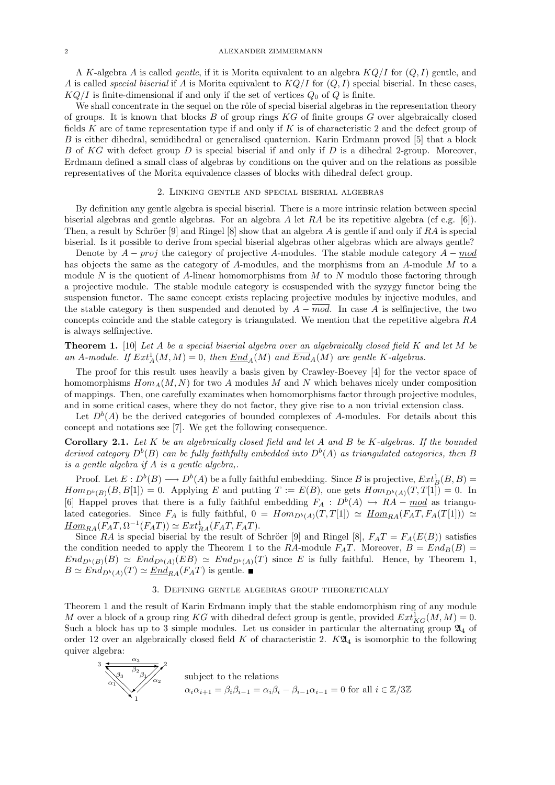#### 2 **ALEXANDER ZIMMERMANN**

A K-algebra A is called *gentle*, if it is Morita equivalent to an algebra  $KQ/I$  for  $(Q, I)$  gentle, and A is called special biserial if A is Morita equivalent to  $KQ/I$  for  $(Q, I)$  special biserial. In these cases,  $KQ/I$  is finite-dimensional if and only if the set of vertices  $Q_0$  of Q is finite.

We shall concentrate in the sequel on the rôle of special biserial algebras in the representation theory of groups. It is known that blocks  $B$  of group rings  $KG$  of finite groups  $G$  over algebraically closed fields K are of tame representation type if and only if K is of characteristic 2 and the defect group of B is either dihedral, semidihedral or generalised quaternion. Karin Erdmann proved [5] that a block B of KG with defect group D is special biserial if and only if D is a dihedral 2-group. Moreover, Erdmann defined a small class of algebras by conditions on the quiver and on the relations as possible representatives of the Morita equivalence classes of blocks with dihedral defect group.

## 2. Linking gentle and special biserial algebras

By definition any gentle algebra is special biserial. There is a more intrinsic relation between special biserial algebras and gentle algebras. For an algebra A let RA be its repetitive algebra (cf e.g. [6]). Then, a result by Schröer [9] and Ringel [8] show that an algebra A is gentle if and only if  $RA$  is special biserial. Is it possible to derive from special biserial algebras other algebras which are always gentle?

Denote by  $A - proj$  the category of projective A-modules. The stable module category  $A - mod$ has objects the same as the category of A-modules, and the morphisms from an A-module M to a module N is the quotient of A-linear homomorphisms from  $M$  to N modulo those factoring through a projective module. The stable module category is cosuspended with the syzygy functor being the suspension functor. The same concept exists replacing projective modules by injective modules, and the stable category is then suspended and denoted by  $A - mod$ . In case A is selfinjective, the two concepts coincide and the stable category is triangulated. We mention that the repetitive algebra RA is always selfinjective.

**Theorem 1.** [10] Let A be a special biserial algebra over an algebraically closed field K and let M be an A-module. If  $Ext^1_A(M, M) = 0$ , then  $End<sub>A</sub>(M)$  and  $\overline{End}_A(M)$  are gentle K-algebras.</u>

The proof for this result uses heavily a basis given by Crawley-Boevey [4] for the vector space of homomorphisms  $Hom_A(M, N)$  for two A modules M and N which behaves nicely under composition of mappings. Then, one carefully examinates when homomorphisms factor through projective modules, and in some critical cases, where they do not factor, they give rise to a non trivial extension class.

Let  $D<sup>b</sup>(A)$  be the derived categories of bounded complexes of A-modules. For details about this concept and notations see [7]. We get the following consequence.

**Corollary 2.1.** Let  $K$  be an algebraically closed field and let  $A$  and  $B$  be  $K$ -algebras. If the bounded derived category  $D^b(B)$  can be fully faithfully embedded into  $D^b(A)$  as triangulated categories, then B is a gentle algebra if  $\overrightarrow{A}$  is a gentle algebra,.

Proof. Let  $E: D^b(B) \longrightarrow D^b(A)$  be a fully faithful embedding. Since B is projective,  $Ext^1_B(B, B)$  =  $Hom_{D^b(B)}(B, B[1]) = 0$ . Applying E and putting  $T := E(B)$ , one gets  $Hom_{D^b(A)}(T, T[1]) = 0$ . In [6] Happel proves that there is a fully faithful embedding  $F_A : D^b(A) \hookrightarrow RA - \underline{mod}$  as triangulated categories. Since  $F_A$  is fully faithful,  $0 = Hom_{D^b(A)}(T,T[1]) \simeq \underline{Hom}_{RA}(F_A T, F_A(T[1])) \simeq$  $\underline{Hom}_{RA}(F_A T, \Omega^{-1}(F_A T)) \simeq Ext_{RA}^1(F_A T, F_A T).$ 

Since RA is special biserial by the result of Schröer [9] and Ringel [8],  $F_A T = F_A(E(B))$  satisfies the condition needed to apply the Theorem 1 to the RA-module  $F_A T$ . Moreover,  $B = End_B(B)$  $End_{D^b(B)}(B) \simeq End_{D^b(A)}(EB) \simeq End_{D^b(A)}(T)$  since E is fully faithful. Hence, by Theorem 1,  $B \simeq End_{D^b(A)}(T) \simeq \underline{End}_{RA}(F_A T)$  is gentle.

### 3. Defining gentle algebras group theoretically

Theorem 1 and the result of Karin Erdmann imply that the stable endomorphism ring of any module M over a block of a group ring KG with dihedral defect group is gentle, provided  $Ext^1_{KG}(M, M) = 0$ . Such a block has up to 3 simple modules. Let us consider in particular the alternating group  $\mathfrak{A}_4$  of order 12 over an algebraically closed field  $K$  of characteristic 2.  $K\mathfrak{A}_4$  is isomorphic to the following quiver algebra:

3  
\n
$$
\frac{\alpha_3}{\alpha_1}
$$
\nsubject to the relations  
\n
$$
\alpha_i \alpha_{i+1} = \beta_i \beta_{i-1} = \alpha_i \beta_i - \beta_{i-1} \alpha_{i-1} = 0
$$
 for all  $i \in \mathbb{Z}/3\mathbb{Z}$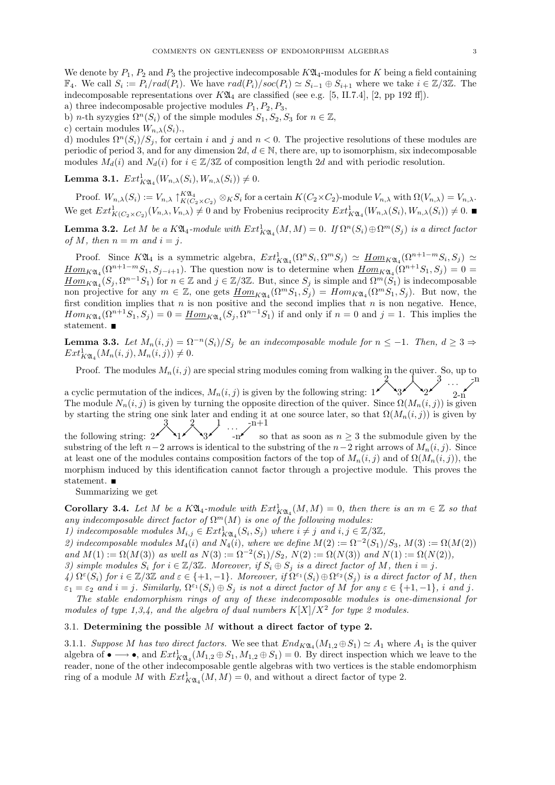We denote by  $P_1, P_2$  and  $P_3$  the projective indecomposable  $K\mathfrak{A}_4$ -modules for K being a field containing  $\mathbb{F}_4$ . We call  $S_i := P_i/rad(P_i)$ . We have  $rad(P_i)/soc(P_i) \simeq S_{i-1} \oplus S_{i+1}$  where we take  $i \in \mathbb{Z}/3\mathbb{Z}$ . The indecomposable representations over  $K\mathfrak{A}_4$  are classified (see e.g. [5, II.7.4], [2, pp 192 ff]).

- a) three indecomposable projective modules  $P_1, P_2, P_3$ ,
- b) *n*-th syzygies  $\Omega^n(S_i)$  of the simple modules  $S_1, S_2, S_3$  for  $n \in \mathbb{Z}$ ,
- c) certain modules  $W_{n,\lambda}(S_i)$ .

d) modules  $\Omega^{n}(S_i)/S_j$ , for certain i and j and  $n < 0$ . The projective resolutions of these modules are periodic of period 3, and for any dimension 2d,  $d \in \mathbb{N}$ , there are, up to isomorphism, six indecomposable modules  $M_d(i)$  and  $N_d(i)$  for  $i \in \mathbb{Z}/3\mathbb{Z}$  of composition length 2d and with periodic resolution.

**Lemma 3.1.**  $Ext^1_{K\mathfrak{A}_4}(W_{n,\lambda}(S_i), W_{n,\lambda}(S_i)) \neq 0.$ 

Proof.  $W_{n,\lambda}(S_i) := V_{n,\lambda} \upharpoonright_K^{\mathcal{K}\mathfrak{A}_4} K(C_2 \times C_2) \otimes_K S_i$  for a certain  $K(C_2 \times C_2)$ -module  $V_{n,\lambda}$  with  $\Omega(V_{n,\lambda}) = V_{n,\lambda}$ . We get  $Ext^1_{K(C_2 \times C_2)}(V_{n,\lambda}, V_{n,\lambda}) \neq 0$  and by Frobenius reciprocity  $Ext^1_{K\mathfrak{A}_4}(W_{n,\lambda}(S_i), W_{n,\lambda}(S_i)) \neq 0$ .

**Lemma 3.2.** Let M be a  $K\mathfrak{A}_4$ -module with  $Ext^1_{K\mathfrak{A}_4}(M,M) = 0$ . If  $\Omega^n(S_i) \oplus \Omega^m(S_j)$  is a direct factor of M, then  $n = m$  and  $i = j$ .

Proof. Since  $K\mathfrak{A}_4$  is a symmetric algebra,  $Ext^1_{K\mathfrak{A}_4}(\Omega^n S_i, \Omega^m S_j) \simeq \underline{Hom}_{K\mathfrak{A}_4}(\Omega^{n+1-m} S_i, S_j) \simeq$  $\underline{Hom}_{K\mathfrak{A}_4}(\Omega^{n+1-m}S_1, S_{j-i+1}).$  The question now is to determine when  $\underline{Hom}_{K\mathfrak{A}_4}(\Omega^{n+1}S_1, S_j) = 0$  $\underline{Hom}_{K\mathfrak{A}_4}(S_j,\Omega^{n-1}S_1)$  for  $n\in\mathbb{Z}$  and  $j\in\mathbb{Z}/3\mathbb{Z}$ . But, since  $S_j$  is simple and  $\Omega^m(S_1)$  is indecomposable non projective for any  $m \in \mathbb{Z}$ , one gets  $\underline{Hom}_{K\mathfrak{A}_4}(\Omega^mS_1, S_1) = Hom_{K\mathfrak{A}_4}(\Omega^mS_1, S_1)$ . But now, the first condition implies that  $n$  is non positive and the second implies that  $n$  is non negative. Hence,  $Hom_{K\mathfrak{A}_4}(\Omega^{n+1}S_1, S_j) = 0 = \underline{Hom}_{K\mathfrak{A}_4}(S_j, \Omega^{n-1}S_1)$  if and only if  $n = 0$  and  $j = 1$ . This implies the statement.

**Lemma 3.3.** Let  $M_n(i, j) = \Omega^{-n}(S_i)/S_j$  be an indecomposable module for  $n \leq -1$ . Then,  $d \geq 3 \Rightarrow$  $Ext^1_{K\mathfrak{A}_4}(M_n(i,j), M_n(i,j)) \neq 0.$ 

Proof. The modules  $M_n(i, j)$  are special string modules coming from walking in the quiver. So, up to  $2 \quad \bar{\lambda} \quad 3 \quad -\text{m}$  $\cdot \cdot \cdot$   $\cdot$ 

a cyclic permutation of the indices,  $M_n(i,j)$  is given by the following string:  $1^{\cancel{\checkmark}}$ ↘3 ↘2  $2-n$ The module  $N_n(i, j)$  is given by turning the opposite direction of the quiver. Since  $\Omega(M_n(i, j))$  is given by starting the string one sink later and ending it at one source later, so that  $\Omega(M_n(i,j))$  is given by the following string:  $2^3$  $\left\{\begin{array}{c} 2 \ 3 \end{array}\right\}$   $\cdots$   $\frac{n+1}{s}$ 

 $-n^{\prime}$  so that as soon as  $n \geq 3$  the submodule given by the substring of the left  $n-2$  arrows is identical to the substring of the  $n-2$  right arrows of  $M_n(i, j)$ . Since at least one of the modules contains composition factors of the top of  $M_n(i, j)$  and of  $\Omega(M_n(i, j))$ , the morphism induced by this identification cannot factor through a projective module. This proves the statement.  $\blacksquare$ 

Summarizing we get

**Corollary 3.4.** Let M be a  $K\mathfrak{A}_4$ -module with  $Ext^1_{K\mathfrak{A}_4}(M,M) = 0$ , then there is an  $m \in \mathbb{Z}$  so that any indecomposable direct factor of  $\Omega^{m}(M)$  is one of the following modules:

1) indecomposable modules  $M_{i,j} \in Ext^1_{K\mathfrak{A}_4}(S_i, S_j)$  where  $i \neq j$  and  $i, j \in \mathbb{Z}/3\mathbb{Z}$ ,

2) indecomposable modules  $M_4(i)$  and  $N_4(i)$ , where we define  $M(2) := \Omega^{-2}(S_1)/S_3$ ,  $M(3) := \Omega(M(2))$ and  $M(1) := \Omega(M(3))$  as well as  $N(3) := \Omega^{-2}(S_1)/S_2$ ,  $N(2) := \Omega(N(3))$  and  $N(1) := \Omega(N(2)),$ 3) simple modules  $S_i$  for  $i \in \mathbb{Z}/3\mathbb{Z}$ . Moreover, if  $S_i \oplus S_j$  is a direct factor of M, then  $i = j$ .

 $\mathcal{A}(A) \Omega^{\varepsilon}(S_i)$  for  $i \in \mathbb{Z}/3\mathbb{Z}$  and  $\varepsilon \in \{+1, -1\}$ . Moreover, if  $\Omega^{\varepsilon_1}(S_i) \oplus \Omega^{\varepsilon_2}(S_j)$  is a direct factor of M, then  $\varepsilon_1 = \varepsilon_2$  and  $i = j$ . Similarly,  $\Omega^{\varepsilon_1}(S_i) \oplus S_j$  is not a direct factor of M for any  $\varepsilon \in \{+1, -1\}$ , i and j. The stable endomorphism rings of any of these indecomposable modules is one-dimensional for

modules of type 1,3,4, and the algebra of dual numbers  $K[X]/X^2$  for type 2 modules.

# 3.1. Determining the possible  $M$  without a direct factor of type 2.

3.1.1. Suppose M has two direct factors. We see that  $End_{K\mathfrak{A}_4}(M_{1,2} \oplus S_1) \simeq A_1$  where  $A_1$  is the quiver algebra of  $\bullet \longrightarrow \bullet$ , and  $Ext^1_{K\mathfrak{A}_4}(M_{1,2} \oplus S_1, M_{1,2} \oplus S_1) = 0$ . By direct inspection which we leave to the reader, none of the other indecomposable gentle algebras with two vertices is the stable endomorphism ring of a module M with  $Ext^1_{K\mathfrak{A}_4}(M,M) = 0$ , and without a direct factor of type 2.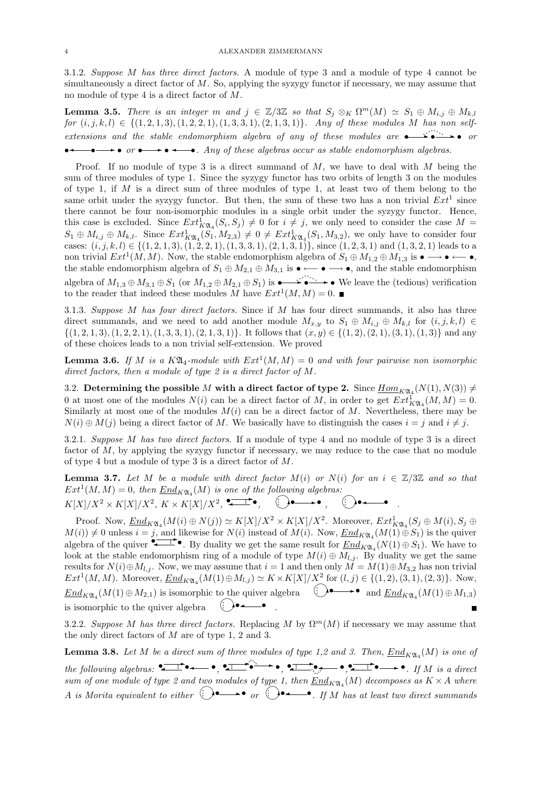3.1.2. Suppose M has three direct factors. A module of type 3 and a module of type 4 cannot be simultaneously a direct factor of  $M$ . So, applying the syzygy functor if necessary, we may assume that no module of type 4 is a direct factor of M.

**Lemma 3.5.** There is an integer m and  $j \in \mathbb{Z}/3\mathbb{Z}$  so that  $S_j \otimes_K \Omega^m(M) \simeq S_1 \oplus M_{i,j} \oplus M_{k,l}$  $for (i, j, k, l) \in \{(1, 2, 1, 3), (1, 2, 2, 1), (1, 3, 3, 1), (2, 1, 3, 1)\}.$  Any of these modules M has non selfextensions and the stable endomorphism algebra of any of these modules are  $\rightarrow \bullet \rightarrow \bullet$  or  $\bullet \rightarrow \bullet \text{ or } \bullet \rightarrow \bullet \rightarrow \bullet$ . Any of these algebras occur as stable endomorphism algebras.

Proof. If no module of type 3 is a direct summand of  $M$ , we have to deal with  $M$  being the sum of three modules of type 1. Since the syzygy functor has two orbits of length 3 on the modules of type 1, if  $M$  is a direct sum of three modules of type 1, at least two of them belong to the same orbit under the syzygy functor. But then, the sum of these two has a non trivial  $Ext<sup>1</sup>$  since there cannot be four non-isomorphic modules in a single orbit under the syzygy functor. Hence, this case is excluded. Since  $Ext^1_{K\mathfrak{A}_4}(S_i, S_j) \neq 0$  for  $i \neq j$ , we only need to consider the case  $M =$  $S_1 \oplus M_{i,j} \oplus M_{k,l}$ . Since  $Ext^1_{K\mathfrak{A}_4}(S_1, M_{2,3}) \neq 0 \neq Ext^1_{K\mathfrak{A}_4}(S_1, M_{3,2})$ , we only have to consider four cases:  $(i, j, k, l) \in \{(1, 2, 1, 3), (1, 2, 2, 1), (1, 3, 3, 1), (2, 1, 3, 1)\}$ , since  $(1, 2, 3, 1)$  and  $(1, 3, 2, 1)$  leads to a non trivial  $Ext^1(M, M)$ . Now, the stable endomorphism algebra of  $S_1 \oplus M_{1,2} \oplus M_{1,3}$  is  $\bullet \longrightarrow \bullet \longleftrightarrow \bullet$ , the stable endomorphism algebra of  $S_1 \oplus M_{2,1} \oplus M_{3,1}$  is  $\bullet \leftarrow \bullet \bullet \bullet$ , and the stable endomorphism algebra of  $M_{1,3} \oplus M_{3,1} \oplus S_1$  (or  $M_{1,2} \oplus M_{2,1} \oplus S_1$ ) is  $\bullet \bullet \bullet \bullet \bullet \bullet$  We leave the (tedious) verification to the reader that indeed these modules M have  $Ext^1(M, M) = 0$ .

3.1.3. Suppose  $M$  has four direct factors. Since if  $M$  has four direct summands, it also has three direct summands, and we need to add another module  $M_{x,y}$  to  $S_1 \oplus M_{i,j} \oplus M_{k,l}$  for  $(i, j, k, l) \in$  $\{(1, 2, 1, 3), (1, 2, 2, 1), (1, 3, 3, 1), (2, 1, 3, 1)\}.$  It follows that  $(x, y) \in \{(1, 2), (2, 1), (3, 1), (1, 3)\}$  and any of these choices leads to a non trivial self-extension. We proved

**Lemma 3.6.** If M is a  $K\mathfrak{A}_4$ -module with  $Ext^1(M, M) = 0$  and with four pairwise non isomorphic direct factors, then a module of type 2 is a direct factor of M.

3.2. Determining the possible M with a direct factor of type 2. Since  $\underline{Hom}_{K\mathfrak{A}_4}(N(1),N(3))\neq 0$ 0 at most one of the modules  $N(i)$  can be a direct factor of M, in order to get  $Ext^1_{K\mathfrak{A}_4}(M,M) = 0$ . Similarly at most one of the modules  $M(i)$  can be a direct factor of M. Nevertheless, there may be  $N(i) \oplus M(j)$  being a direct factor of M. We basically have to distinguish the cases  $i = j$  and  $i \neq j$ .

3.2.1. Suppose M has two direct factors. If a module of type 4 and no module of type 3 is a direct factor of  $M$ , by applying the syzygy functor if necessary, we may reduce to the case that no module of type 4 but a module of type 3 is a direct factor of M.

**Lemma 3.7.** Let M be a module with direct factor  $M(i)$  or  $N(i)$  for an  $i \in \mathbb{Z}/3\mathbb{Z}$  and so that  $Ext^1(M, M) = 0$ , then  $End<sub>K</sub>(M)$  is one of the following algebras:</u>

 $K[X]/X^2 \times K[X]/X^2, K \times K[X]/X^2, \stackrel{\bullet}{\longleftrightarrow} \bullet, \quad \bigodot \bullet \longrightarrow \bullet, \quad \bigodot \bullet \longrightarrow \bullet$ .

Proof. Now,  $\underline{End}_{K\mathfrak{A}_4}(M(i) \oplus N(j)) \simeq K[X]/X^2 \times K[X]/X^2$ . Moreover,  $Ext^1_{K\mathfrak{A}_4}(S_j \oplus M(i), S_j \oplus N(j))$  $M(i) \neq 0$  unless  $i = j$ , and likewise for  $N(i)$  instead of  $M(i)$ . Now,  $\underline{End}_{K\mathfrak{A}_4}(M(1) \oplus S_1)$  is the quiver  $M(i)$   $\neq$  0 unless  $i = j$ , and likewise for  $N(i)$  instead of  $M(i)$ . Now,  $\underline{End}_{K\mathfrak{A}_4}(M(1) \oplus S_1)$  is the quiver algebra of the quiver  $\bullet$ . By duality we get the same result for  $\underline{End}_{K\mathfrak{A}_4}(N(1) \oplus S_1)$ . We hav look at the stable endomorphism ring of a module of type  $M(i) \oplus M_{l,j}$ . By duality we get the same results for  $N(i) \oplus M_{l,j}$ . Now, we may assume that  $i = 1$  and then only  $M = M(1) \oplus M_{3,2}$  has non trivial  $Ext^1(M, M)$ . Moreover,  $End_{K\mathfrak{A}_4}(M(1) \oplus M_{l,j}) \simeq K \times K[X]/X^2$  for  $(l, j) \in \{(1, 2), (3, 1), (2, 3)\}$ . Now,</u>  $End_{K\mathfrak{A}_4}(M(1) \oplus M_{2,1})$  is isomorphic to the quiver algebra  $\bigoplus \longrightarrow \text{ and } \underline{End}_{K\mathfrak{A}_4}(M(1) \oplus M_{1,3})$ is isomorphic to the quiver algebra  $\bigodot \bullet \stackrel{\cdot}{\dashrightarrow} \bullet$  .

3.2.2. Suppose M has three direct factors. Replacing M by  $\Omega^m(M)$  if necessary we may assume that the only direct factors of M are of type 1, 2 and 3.

**Lemma 3.8.** Let M be a direct sum of three modules of type 1,2 and 3. Then,  $\underline{End}_{K\mathfrak{A}_4}(M)$  is one of the following algebras:  $\overrightarrow{\bullet}$   $\overrightarrow{\bullet}$   $\overrightarrow{\bullet}$   $\overrightarrow{\bullet}$   $\overrightarrow{\bullet}$   $\overrightarrow{\bullet}$   $\overrightarrow{\bullet}$   $\overrightarrow{\bullet}$   $\overrightarrow{\bullet}$   $\overrightarrow{\bullet}$   $\overrightarrow{\bullet}$   $\overrightarrow{\bullet}$   $\overrightarrow{\bullet}$   $\overrightarrow{\bullet}$   $\overrightarrow{\bullet}$   $\overrightarrow{\bullet}$   $\overrightarrow{\bullet}$   $\overrightarrow{\bullet}$   $\overrightarrow{\bullet}$   $\overrightarrow{\bullet}$   $\overrightarrow{\bullet}$   $\overrightarrow{\bullet}$ sum of one module of type 2 and two modules of type 1, then  $\underline{End}_{K\mathfrak{A}_4}(M)$  decomposes as  $K\times A$  where A is Morita equivalent to either  $\bigoplus \longrightarrow_{\mathfrak{or}} \bigoplus \longrightarrow_{I}$  if M has at least two direct summands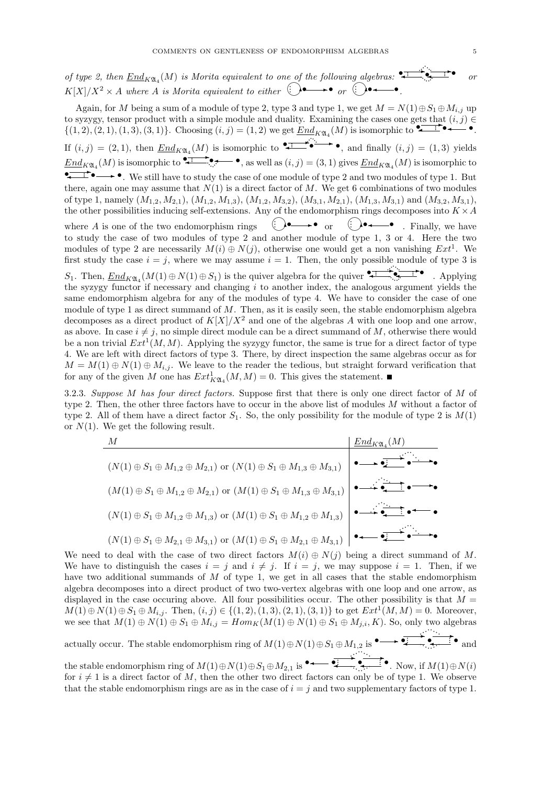of type 2, then  $\underline{End}_{K\mathfrak{A}_4}(M)$  is Morita equivalent to one of the following algebras: ✲• · · · · · · ···· ····· · · or  $K[X]/X^2 \times A$  where A is Morita equivalent to either  $\bigodot \bullet \longrightarrow \bullet$  or  $\bigodot \bullet \longrightarrow \bullet$ .

Again, for M being a sum of a module of type 2, type 3 and type 1, we get  $M = N(1) \oplus S_1 \oplus M_{i,j}$  up to syzygy, tensor product with a simple module and duality. Examining the cases one gets that  $(i, j) \in$ to syzygy, tensor product with a simple module and duality. Examining the cases one gets that  $(i, j) \in \{(1, 2), (2, 1), (1, 3), (3, 1)\}\$ . Choosing  $(i, j) = (1, 2)$  we get  $\underline{End}_{K\mathfrak{A}_4}(M)$  is isomorphic to  $\bullet \bullet \bullet \bullet \bullet \bullet$ . If  $(i, j) = (2, 1)$ , then  $\text{End}_{K\mathfrak{A}_4}(M)$  is isomorphic to  $\bullet \bullet \bullet$ , and finally  $(i, j) = (1, 3)$  yields  $End_{K\mathfrak{A}_4}(M)$  is isomorphic to  $\bullet \bullet \bullet$ , as well as  $(i, j) = (3, 1)$  gives  $End_{K\mathfrak{A}_4}(M)$  is isomorphic to  $\bullet \bullet \bullet$ , as well as  $(i, j) = (3, 1)$  gives  $End_{K\mathfrak{A}_4}(M)$  is isomorphic to  $\bullet \rightarrow \bullet$ . We still have to study the case of one module of type 2 and two modules of type 1. But  $\bullet \rightarrow \bullet$ . there, again one may assume that  $N(1)$  is a direct factor of M. We get 6 combinations of two modules of type 1, namely  $(M_{1,2}, M_{2,1}), (M_{1,2}, M_{1,3}), (M_{1,2}, M_{3,2}), (M_{3,1}, M_{2,1}), (M_{1,3}, M_{3,1})$  and  $(M_{3,2}, M_{3,1}),$ the other possibilities inducing self-extensions. Any of the endomorphism rings decomposes into  $K \times A$ where  $A$  is one of the two endomorphism rings  $\bigoplus$  --  $\bullet$  or  $\bigoplus$  - $\bigodot \bullet \longrightarrow$  Finally, we have to study the case of two modules of type 2 and another module of type 1, 3 or 4. Here the two modules of type 2 are necessarily  $M(i) \oplus N(j)$ , otherwise one would get a non vanishing  $Ext^1$ . We first study the case  $i = j$ , where we may assume  $i = 1$ . Then, the only possible module of type 3 is S1. Then, EndKA<sup>4</sup> (M(1) <sup>⊕</sup> <sup>N</sup>(1) <sup>⊕</sup> <sup>S</sup>1) is the quiver algebra for the quiver • • ✲ ✛· · · ✛ ✲• · · · · · · ····  $\cdot$   $\cdot$  Applying the syzygy functor if necessary and changing i to another index, the analogous argument yields the same endomorphism algebra for any of the modules of type 4. We have to consider the case of one module of type 1 as direct summand of  $M$ . Then, as it is easily seen, the stable endomorphism algebra decomposes as a direct product of  $K[X]/X^2$  and one of the algebras A with one loop and one arrow, as above. In case  $i \neq j$ , no simple direct module can be a direct summand of M, otherwise there would be a non trivial  $Ext^1(M, M)$ . Applying the syzygy functor, the same is true for a direct factor of type 4. We are left with direct factors of type 3. There, by direct inspection the same algebras occur as for  $M = M(1) \oplus N(1) \oplus M_{i,j}$ . We leave to the reader the tedious, but straight forward verification that for any of the given M one has  $Ext^1_{K\mathfrak{A}_4}(M,M) = 0$ . This gives the statement.

3.2.3. Suppose  $M$  has four direct factors. Suppose first that there is only one direct factor of  $M$  of type 2. Then, the other three factors have to occur in the above list of modules M without a factor of type 2. All of them have a direct factor  $S_1$ . So, the only possibility for the module of type 2 is  $M(1)$ or  $N(1)$ . We get the following result.

| М                                                                                                                                            | $End_{K\mathfrak{A}_4}(M)$                                                                                                             |
|----------------------------------------------------------------------------------------------------------------------------------------------|----------------------------------------------------------------------------------------------------------------------------------------|
| $(N(1) \oplus S_1 \oplus M_{1,2} \oplus M_{2,1})$ or $(N(1) \oplus S_1 \oplus M_{1,3} \oplus M_{3,1})$                                       | $\bullet \longrightarrow \overrightarrow{\bullet \vdash \bullet} \xrightarrow{\bullet} \overrightarrow{\bullet} \xrightarrow{\bullet}$ |
| $(M(1) \oplus S_1 \oplus M_{1,2} \oplus M_{2,1})$ or $(M(1) \oplus S_1 \oplus M_{1,3} \oplus M_{3,1})$ $\bullet \rightarrow \bullet \bullet$ |                                                                                                                                        |
| $(N(1) \oplus S_1 \oplus M_{1,2} \oplus M_{1,3})$ or $(M(1) \oplus S_1 \oplus M_{1,2} \oplus M_{1,3})$ $\bullet \rightarrow \bullet$         |                                                                                                                                        |
| $(N(1) \oplus S_1 \oplus M_{2,1} \oplus M_{3,1})$ or $(M(1) \oplus S_1 \oplus M_{2,1} \oplus M_{3,1})$ $\bullet \longrightarrow \bullet$     |                                                                                                                                        |

We need to deal with the case of two direct factors  $M(i) \oplus N(j)$  being a direct summand of M. We have to distinguish the cases  $i = j$  and  $i \neq j$ . If  $i = j$ , we may suppose  $i = 1$ . Then, if we have two additional summands of  $M$  of type 1, we get in all cases that the stable endomorphism algebra decomposes into a direct product of two two-vertex algebras with one loop and one arrow, as displayed in the case occuring above. All four possibilities occur. The other possibility is that  $M =$  $M(1) \oplus N(1) \oplus S_1 \oplus M_{i,j}$ . Then,  $(i, j) \in \{(1, 2), (1, 3), (2, 1), (3, 1)\}$  to get  $Ext<sup>1</sup>(M, M) = 0$ . Moreover, we see that  $M(1) \oplus N(1) \oplus S_1 \oplus M_{i,j} = Hom_K(M(1) \oplus N(1) \oplus S_1 \oplus M_{j,i}, K)$ . So, only two algebras

actually occur. The stable endomorphism ring of  $M(1) \oplus N(1) \oplus S_1 \oplus M_{1,2}$  is  $\bullet \longrightarrow \bullet \longrightarrow \bullet \longrightarrow \bullet$ ····· · · · · · · · · · and  $\cdot$   $\cdot$ 

the stable endomorphism ring of <sup>M</sup>(1)⊕N(1)⊕S1⊕M2,<sup>1</sup> is • • • • ✲ ✲ ✛ ✛ ✛  $\begin{array}{c}\n\bullet \quad \bullet \quad \bullet \\
\hline\n\bullet \quad \bullet \quad \text{Now, if } M(1) \oplus N(i)\n\end{array}$ for  $i \neq 1$  is a direct factor of M, then the other two direct factors can only be of type 1. We observe that the stable endomorphism rings are as in the case of  $i = j$  and two supplementary factors of type 1.